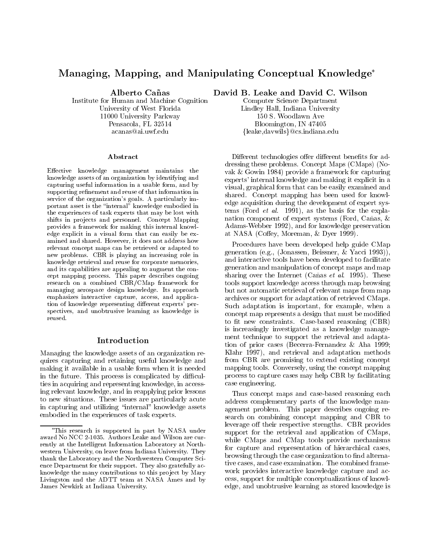# Managing, Mapping, and Manipulating Conceptual Knowledge

Alberto Cañas

Institute for Human and Machine Cognition University of West Florida 11000 University Parkway Pensacola, FL 32514 acanas@ai.uwf.edu

#### Abstract

Effective knowledge management maintains the knowledge assets of an organization by identifying and capturing useful information in a usable form, and by supporting refinement and reuse of that information in service of the organization's goals. A particularly important asset is the "internal" knowledge embodied in the experiences of task experts that may be lost with shifts in projects and personnel. Concept Mapping provides a framework for making this internal knowledge explicit in a visual form that can easily be examined and shared. However, it does not address how relevant concept maps can be retrieved or adapted to new problems. CBR is playing an increasing role in knowledge retrieval and reuse for corporate memories, and its capabilities are appealing to augment the concept mapping process. This paper describes ongoing research on a combined CBR/CMap framework for managing aerospace design knowledge. Its approach emphasizes interactive capture, access, and application of knowledge representing different experts' perspectives, and unobtrusive learning as knowledge is reused.

### Introduction

Managing the knowledge assets of an organization requires capturing and retaining useful knowledge and making it available in a usable form when it is needed in the future. This process is complicated by difficulties in acquiring and representing knowledge, in accessing relevant knowledge, and in reapplying prior lessons to new situations. These issues are particularly acute in capturing and utilizing "internal" knowledge assets embodied in the experiences of task experts.

David B. Leake and David C. Wilson

Computer Science Department Lindley Hall, Indiana University 150 S. Woodlawn Ave Bloomington, IN 47405  ${leake,}davwils$  $@cs.indiana.edu$ 

Different technologies offer different benefits for addressing these problems. Concept Maps (CMaps) (No vak & Gowin 1984) provide a framework for capturing experts' internal knowledge and making it explicit in a visual, graphical form that can be easily examined and shared. Concept mapping has been used for knowledge acquisition during the development of expert systems (Ford et al. 1991), as the basis for the explanation component of expert systems (Ford, Cañas,  $\&$ Adams-Webber 1992), and for knowledge preservation at NASA (Coffey, Moreman, & Dyer 1999).

Procedures have been developed help guide CMap generation (e.g., (Jonassen, Beissner, & Yacci 1993)), and interactive tools have been developed to facilitate generation and manipulation of concept maps and map sharing over the Internet (Cañas et al. 1995). These tools support knowledge access through map browsing but not automatic retrieval of relevant maps from map archives or support for adaptation of retrieved CMaps. Such adaptation is important, for example, when a concept map represents a design that must be modified to fit new constraints. Case-based reasoning (CBR) is increasingly investigated as a knowledge management technique to support the retrieval and adaptation of prior cases (Becerra-Fernandez & Aha 1999; Klahr 1997), and retrieval and adaptation methods from CBR are promising to extend existing concept mapping tools. Conversely, using the concept mapping process to capture cases may help CBR by facilitating case engineering.

Thus concept maps and case-based reasoning each address complementary parts of the knowledge management problem. This paper describes ongoing research on combining concept mapping and CBR to leverage off their respective strengths. CBR provides support for the retrieval and application of CMaps, while CMaps and CMap tools provide mechanisms for capture and representation of hierarchical cases, browsing through the case organization to find alternative cases, and case examination. The combined frame work provides interactive knowledge capture and access, support for multiple conceptualizations of knowledge, and unobtrusive learning as stored knowledge is

This research issupported in part by NASA under award No NCC 2-1035. Authors Leake and Wilson are cur rently at the Intelligent Information Laboratory at North western University, on leave from Indiana University. They thank the Laboratory and the Northwestern Computer Science Department for their support. They also gratefully acknowledge the many contributions to this project by Mary Livingston and the ADTT team at NASA Ames and by James Newkirk at Indiana University.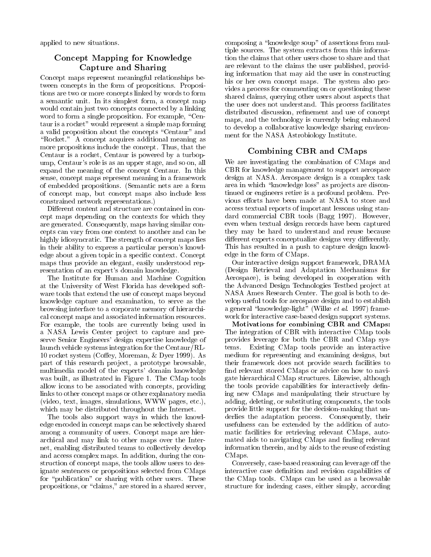applied to new situations.

# Concept Mapping for Knowledge Capture and Sharing

Concept maps represent meaningful relationships between concepts in the form of propositions. Propositions are two or more concepts linked by words to form a semantic unit. In its simplest form, a concept map would contain just two concepts connected by a linking word to form a single proposition. For example, "Centaur is a rocket" would represent a simple map forming a valid proposition about the concepts "Centaur" and "Rocket." A concept acquires additional meaning as more propositions include the concept. Thus, that the Centaur is a rocket, Centaur is powered by a turbopump, Centaur's role is as an upper stage, and so on, all expand the meaning of the concept Centaur. In this sense, concept maps represent meaning in a framework of embedded propositions. (Semantic nets are a form of concept map, but concept maps also include less constrained network representations.)

Different content and structure are contained in concept maps depending on the contexts for which they are generated. Consequently, maps having similar concepts can vary from one context to another and can be highly idiosyncratic. The strength of concept maps lies in their ability to express a particular person's knowledge about a given topic in a specic context. Concept maps thus provide an elegant, easily understood representation of an expert's domain knowledge.

The Institute for Human and Machine Cognition at the University of West Florida has developed soft ware tools that extend the use of concept maps beyond knowledge capture and examination, to serve as the browsing interface to a corporate memory of hierarchical concept maps and associated information resources. For example, the tools are currently being used in a NASA Lewis Center project to capture and preserve Senior Engineers' design expertise knowledge of launch vehicle systems integration for the Centaur/RL-10 rocket system (Coffey, Moreman, & Dyer 1999). As part of this research project, a prototype browsable, multimedia model of the experts' domain knowledge was built, as illustrated in Figure 1. The CMap tools allow icons to be associated with concepts, providing links to other concept maps or other explanatory media (video, text, images, simulations, WWW pages, etc.), which may be distributed throughout the Internet.

The tools also support ways in which the knowledge encoded in concept maps can be selectively shared among a community of users. Concept maps are hierarchical and may link to other maps over the Internet, enabling distributed teams to collectively develop and access complex maps. In addition, during the construction of concept maps, the tools allow users to designate sentences or propositions selected from CMaps for "publication" or sharing with other users. These propositions, or "claims," are stored in a shared server, composing a "knowledge soup" of assertions from multiple sources. The system extracts from this information the claims that other users chose to share and that are relevant to the claims the user published, providing information that may aid the user in constructing his or her own concept maps. The system also provides a process for commenting on or questioning these shared claims, querying other users about aspects that the user does not understand. This process facilitates distributed discussion, refinement and use of concept maps, and the technology is currently being enhanced to develop a collaborative knowledge sharing environment for the NASA Astrobiology Institute.

# Combining CBR and CMaps

We are investigating the combination of CMaps and CBR for knowledge management to support aerospace design at NASA. Aerospace design is a complex task area in which "knowledge loss" as projects are discontinued or engineers retire is a profound problem. Previous efforts have been made at NASA to store and access textual reports of important lessons using standard commercial CBR tools (Bagg 1997). However, even when textual design records have been captured they may be hard to understand and reuse because different experts conceptualize designs very differently. This has resulted in a push to capture design knowledge in the form of CMaps.

Our interactive design support framework, DRAMA (Design Retrieval and Adaptation Mechanisms for Aerospace), is being developed in cooperation with the Advanced Design Technologies Testbed project at NASA Ames Research Center. The goal is both to de velop useful tools for aerospace design and to establish a general "knowledge-light" (Wilke  $et$   $al.$  1997) framework for interactive case-based design support systems.

Motivations for combining CBR and CMaps: The integration of CBR with interactive CMap tools provides leverage for both the CBR and CMap systems. Existing CMap tools provide an interactive medium for representing and examining designs, but their framework does not provide search facilities to find relevant stored CMaps or advice on how to navigate hierarchical CMap structures. Likewise, although the tools provide capabilities for interactively dening new CMaps and manipulating their structure by adding, deleting, or substituting components, the tools provide little support for the decision-making that underlies the adaptation process. Consequently, their usefulness can be extended by the addition of automatic facilities for retrieving relevant CMaps, automated aids to navigating CMaps and finding relevant information therein, and by aids to the reuse of existing CMaps.

Conversely, case-based reasoning can leverage off the interactive case definition and revision capabilities of the CMap tools. CMaps can be used as a browsable structure for indexing cases, either simply, according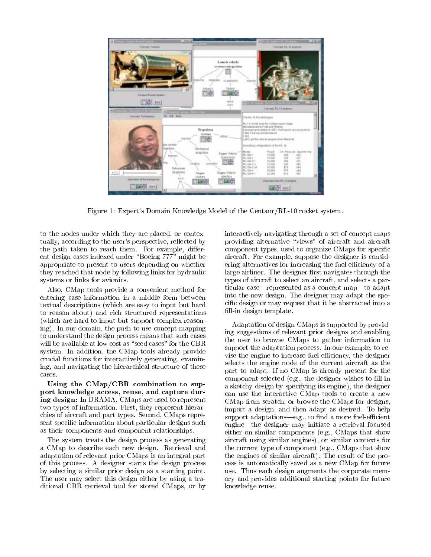

Figure 1: Expert's Domain Knowledge Model of the Centaur/RL-10 rocket system.

to the nodes under which they are placed, or contextually, according to the user's perspective, reflected by the path taken to reach them. For example, different design cases indexed under \Boeing 777" might be appropriate to present to users depending on whether they reached that node by following links for hydraulic systems or links for avionics.

Also, CMap tools provide a convenient method for entering case information in a middle form between textual descriptions (which are easy to input but hard to reason about) and rich structured representations (which are hard to input but support complex reasoning). In our domain, the push to use concept mapping to understand the design process means that such cases will be available at low cost as "seed cases" for the CBR system. In addition, the CMap tools already provide crucial functions for interactively generating, examining, and navigating the hierarchical structure of these cases.

Using the CMap/CBR combination to support knowledge access, reuse, and capture during design: In DRAMA, CMaps are used to represent two types of information. First, they represent hierarchies of aircraft and part types. Second, CMaps represent specic information about particular designs such as their components and component relationships.

The system treats the design process as generating a CMap to describe each new design. Retrieval and adaptation of relevant prior CMaps is an integral part of this process. A designer starts the design process by selecting a similar prior design as a starting point. The user may select this design either by using a traditional CBR retrieval tool for stored CMaps, or by

interactively navigating through a set of concept maps providing alternative \views" of aircraft and aircraft component types, used to organize CMaps for specic aircraft. For example, suppose the designer is considering alternatives for increasing the fuel efficiency of a large airliner. The designer first navigates through the types of aircraft to select an aircraft, and selects a particular case—represented as a concept map—to adapt into the new design. The designer may adapt the specic design or may request that it be abstracted into a fill-in design template.

Adaptation of design CMaps is supported by providing suggestions of relevant prior designs and enabling the user to browse CMaps to gather information to support the adaptation process. In our example, to revise the engine to increase fuel efficiency, the designer selects the engine node of the current aircraft as the part to adapt. If no CMap is already present for the component selected (e.g., the designer wishes to fill in a sketchy design by specifying its engine), the designer can use the interactive CMap tools to create a new CMap from scratch, or browse the CMaps for designs, import a design, and then adapt as desired. To help support adaptations—e.g., to find a more fuel-efficient engine—the designer may initiate a retrieval focused either on similar components (e.g., CMaps that show aircraft using similar engines), or similar contexts for the current type of component (e.g., CMaps that show the engines of similar aircraft). The result of the process is automatically saved as a new CMap for future use. Thus each design augments the corporate memory and provides additional starting points for future knowledge reuse.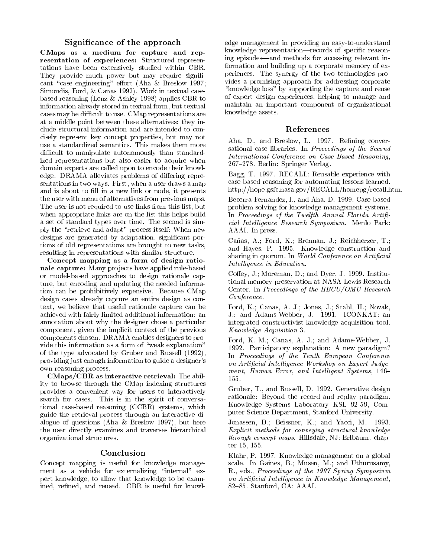### Significance of the approach

CMaps as a medium for capture and rep resentation of experiences: Structured representations have been extensively studied within CBR. They provide much power but may require significant "case engineering" effort (Aha & Breslow 1997; Simoudis, Ford,  $&$  Cañas 1992). Work in textual casebased reasoning (Lenz & Ashley 1998) applies CBR to information already stored in textual form, but textual cases may be difficult to use. CMap representations are at a middle point between these alternatives: they include structural information and are intended to concisely represent key concept properties, but may not use a standardized semantics. This makes them more difficult to manipulate autonomously than standardized representations but also easier to acquire when domain experts are called upon to encode their knowledge. DRAMA alleviates problems of differing representations in two ways. First, when a user draws a map and is about to fill in a new link or node, it presents the user with menu of alternatives from previous maps. The user is not required to use links from this list, but when appropriate links are on the list this helps build a set of standard types over time. The second is simply the \retrieve and adapt" process itself: When new designs are generated by adaptation, signicant portions of old representations are brought to new tasks, resulting in representations with similar structure.

Concept mapping as a form of design rationale capture: Many projects have applied rule-based or model-based approaches to design rationale capture, but encoding and updating the needed information can be prohibitively expensive. Because CMap design cases already capture an entire design as context, we believe that useful rationale capture can be achieved with fairly limited additional information: an annotation about why the designer chose a particular component, given the implicit context of the previous components chosen. DRAMA enables designers to provide this information as a form of "weak explanation" of the type advocated by Gruber and Russell (1992), providing just enough information to guide a designer's own reasoning process.

CMaps/CBR as interactive retrieval: The ability to browse through the CMap indexing structures provides a convenient way for users to interactively search for cases. This is in the spirit of conversational case-based reasoning (CCBR) systems, which guide the retrieval process through an interactive dialogue of questions (Aha & Breslow 1997), but here the user directly examines and traverses hierarchical organizational structures.

#### Conclusion

Concept mapping is useful for knowledge management as a vehicle for externalizing "internal" expert knowledge, to allow that knowledge to be examined, refined, and reused. CBR is useful for knowledge management in providing an easy-to-understand knowledge representation—records of specific reasoning episodes—and methods for accessing relevant information and building up a corporate memory of experiences. The synergy of the two technologies provides a promising approach for addressing corporate "knowledge loss" by supporting the capture and reuse of expert design experiences, helping to manage and maintain an important component of organizational knowledge assets.

#### References

Aha, D., and Breslow, L. 1997. Refining conversational case libraries. In Proceedings of the Second International Conference on Case-Based Reasoning, 267-278. Berlin: Springer Verlag.

Bagg, T. 1997. RECALL: Reusable experience with case-based reasoning for automating lessons learned. http://hope.gsfc.nasa.gov/RECALL/homepg/recall.htm.

Becerra-Fernandez, I., and Aha, D. 1999. Case-based problem solving for knowledge management systems. In Proceedings of the Twelfth Annual Florida Artificial Intelligence Research Symposium. Menlo Park: AAAI. In press.

Cañas, A.; Ford, K.; Brennan, J.; Reichherzer, T.; and Hayes, P. 1995. Knowledge construction and sharing in quorum. In World Conference on Artificial Intelligence in Education.

Coffey, J.; Moreman, D.; and Dyer, J. 1999. Institutional memory preservation at NASA Lewis Research Center. In Proceedings of the HBCU/OMU Research Conference.

Ford, K.; Cañas, A. J.; Jones, J.; Stahl, H.; Novak, J.; and Adams-Webber, J. 1991. ICONKAT: an integrated constructivist knowledge acquisition tool. Know ledge Acquisition 3.

Ford, K. M.; Cañas, A. J.; and Adams-Webber, J. 1992. Participatory explanation: A new paradigm? In Proceedings of the Tenth European Conference on Artificial Intelligence Workshop on Expert Judgement, Human Error, and Intelligent Systems, 146-

Gruber, T., and Russell, D. 1992. Generative design rationale: Beyond the record and replay paradigm. Knowledge Systems Laboratory KSL 92-59, Computer Science Department, Stanford University.

Jonassen, D.; Beissner, K.; and Yacci, M. 1993. Explicit methods for conveying structural knowledge through concept maps. Hillsdale, NJ: Erlbaum. chapter 15, 155.

Klahr, P. 1997. Knowledge management on a global scale. In Gaines, B.; Musen, M.; and Uthurusamy, R., eds., Proceedings of the 1997 Spring Symposium on Artificial Intelligence in Knowledge Management, 82-85. Stanford, CA: AAAI.